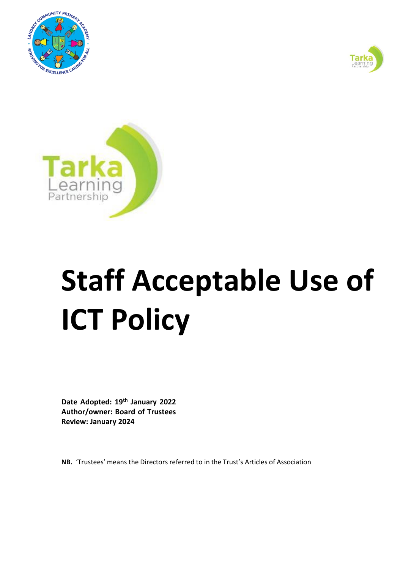





# **Staff Acceptable Use of ICT Policy**

**Date Adopted: 19th January 2022 Author/owner: Board of Trustees Review: January 2024**

**NB.** 'Trustees' means the Directors referred to in the Trust's Articles of Association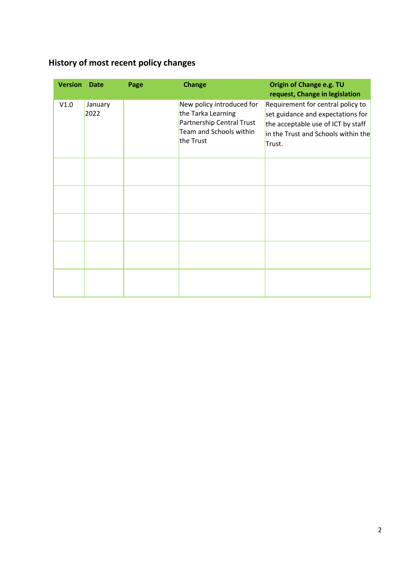# <span id="page-1-0"></span>**History of most recent policy changes**

| <b>Version</b> | <b>Date</b>     | Page | <b>Change</b>                                                                                                        | Origin of Change e.g. TU<br>request, Change in legislation                                                                                                    |
|----------------|-----------------|------|----------------------------------------------------------------------------------------------------------------------|---------------------------------------------------------------------------------------------------------------------------------------------------------------|
| V1.0           | January<br>2022 |      | New policy introduced for<br>the Tarka Learning<br>Partnership Central Trust<br>Team and Schools within<br>the Trust | Requirement for central policy to<br>set guidance and expectations for<br>the acceptable use of ICT by staff<br>in the Trust and Schools within the<br>Trust. |
|                |                 |      |                                                                                                                      |                                                                                                                                                               |
|                |                 |      |                                                                                                                      |                                                                                                                                                               |
|                |                 |      |                                                                                                                      |                                                                                                                                                               |
|                |                 |      |                                                                                                                      |                                                                                                                                                               |
|                |                 |      |                                                                                                                      |                                                                                                                                                               |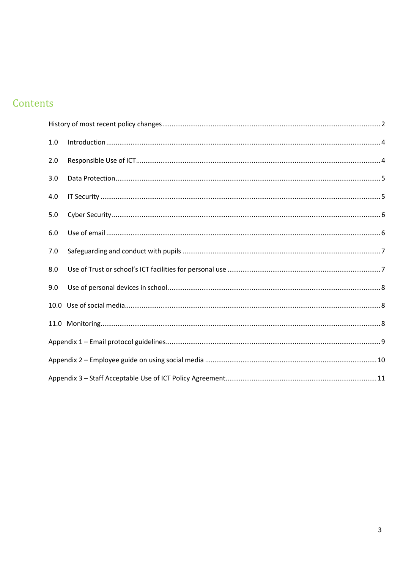# Contents

| 1.0 |  |  |  |  |  |
|-----|--|--|--|--|--|
| 2.0 |  |  |  |  |  |
| 3.0 |  |  |  |  |  |
| 4.0 |  |  |  |  |  |
| 5.0 |  |  |  |  |  |
| 6.0 |  |  |  |  |  |
| 7.0 |  |  |  |  |  |
| 8.0 |  |  |  |  |  |
| 9.0 |  |  |  |  |  |
|     |  |  |  |  |  |
|     |  |  |  |  |  |
|     |  |  |  |  |  |
|     |  |  |  |  |  |
|     |  |  |  |  |  |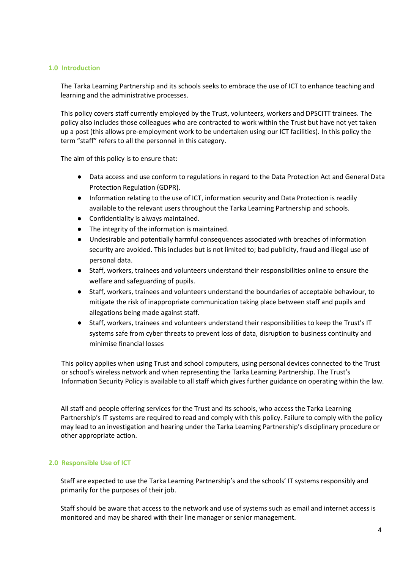#### <span id="page-3-0"></span>**1.0 Introduction**

The Tarka Learning Partnership and its schools seeks to embrace the use of ICT to enhance teaching and learning and the administrative processes.

This policy covers staff currently employed by the Trust, volunteers, workers and DPSCITT trainees. The policy also includes those colleagues who are contracted to work within the Trust but have not yet taken up a post (this allows pre-employment work to be undertaken using our ICT facilities). In this policy the term "staff" refers to all the personnel in this category.

The aim of this policy is to ensure that:

- Data access and use conform to regulations in regard to the Data Protection Act and General Data Protection Regulation (GDPR).
- Information relating to the use of ICT, information security and Data Protection is readily available to the relevant users throughout the Tarka Learning Partnership and schools.
- Confidentiality is always maintained.
- The integrity of the information is maintained.
- Undesirable and potentially harmful consequences associated with breaches of information security are avoided. This includes but is not limited to; bad publicity, fraud and illegal use of personal data.
- Staff, workers, trainees and volunteers understand their responsibilities online to ensure the welfare and safeguarding of pupils.
- Staff, workers, trainees and volunteers understand the boundaries of acceptable behaviour, to mitigate the risk of inappropriate communication taking place between staff and pupils and allegations being made against staff.
- Staff, workers, trainees and volunteers understand their responsibilities to keep the Trust's IT systems safe from cyber threats to prevent loss of data, disruption to business continuity and minimise financial losses

This policy applies when using Trust and school computers, using personal devices connected to the Trust or school's wireless network and when representing the Tarka Learning Partnership. The Trust's Information Security Policy is available to all staff which gives further guidance on operating within the law.

All staff and people offering services for the Trust and its schools, who access the Tarka Learning Partnership's IT systems are required to read and comply with this policy. Failure to comply with the policy may lead to an investigation and hearing under the Tarka Learning Partnership's disciplinary procedure or other appropriate action.

# <span id="page-3-1"></span>**2.0 Responsible Use of ICT**

Staff are expected to use the Tarka Learning Partnership's and the schools' IT systems responsibly and primarily for the purposes of their job.

Staff should be aware that access to the network and use of systems such as email and internet access is monitored and may be shared with their line manager or senior management.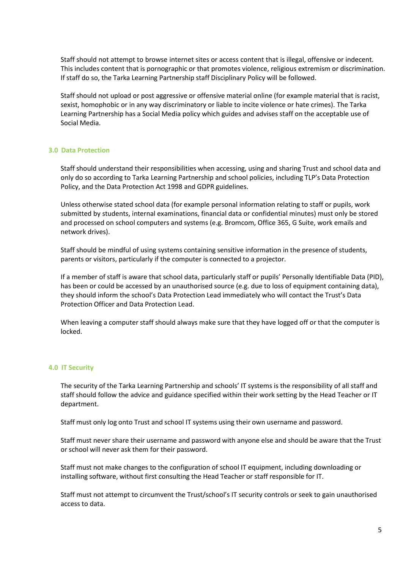Staff should not attempt to browse internet sites or access content that is illegal, offensive or indecent. This includes content that is pornographic or that promotes violence, religious extremism or discrimination. If staff do so, the Tarka Learning Partnership staff Disciplinary Policy will be followed.

Staff should not upload or post aggressive or offensive material online (for example material that is racist, sexist, homophobic or in any way discriminatory or liable to incite violence or hate crimes). The Tarka Learning Partnership has a Social Media policy which guides and advises staff on the acceptable use of Social Media.

#### <span id="page-4-0"></span>**3.0 Data Protection**

Staff should understand their responsibilities when accessing, using and sharing Trust and school data and only do so according to Tarka Learning Partnership and school policies, including TLP's Data Protection Policy, and the Data Protection Act 1998 and GDPR guidelines.

Unless otherwise stated school data (for example personal information relating to staff or pupils, work submitted by students, internal examinations, financial data or confidential minutes) must only be stored and processed on school computers and systems (e.g. Bromcom, Office 365, G Suite, work emails and network drives).

Staff should be mindful of using systems containing sensitive information in the presence of students, parents or visitors, particularly if the computer is connected to a projector.

If a member of staff is aware that school data, particularly staff or pupils' Personally Identifiable Data (PID), has been or could be accessed by an unauthorised source (e.g. due to loss of equipment containing data), they should inform the school's Data Protection Lead immediately who will contact the Trust's Data Protection Officer and Data Protection Lead.

When leaving a computer staff should always make sure that they have logged off or that the computer is locked.

#### <span id="page-4-1"></span>**4.0 IT Security**

The security of the Tarka Learning Partnership and schools' IT systems is the responsibility of all staff and staff should follow the advice and guidance specified within their work setting by the Head Teacher or IT department.

Staff must only log onto Trust and school IT systems using their own username and password.

Staff must never share their username and password with anyone else and should be aware that the Trust or school will never ask them for their password.

Staff must not make changes to the configuration of school IT equipment, including downloading or installing software, without first consulting the Head Teacher or staff responsible for IT.

Staff must not attempt to circumvent the Trust/school's IT security controls or seek to gain unauthorised access to data.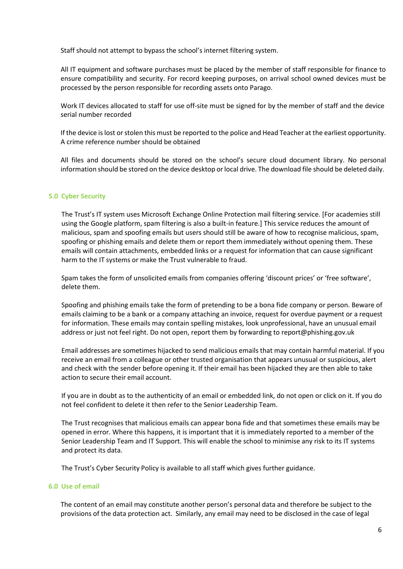Staff should not attempt to bypass the school's internet filtering system.

All IT equipment and software purchases must be placed by the member of staff responsible for finance to ensure compatibility and security. For record keeping purposes, on arrival school owned devices must be processed by the person responsible for recording assets onto Parago.

Work IT devices allocated to staff for use off-site must be signed for by the member of staff and the device serial number recorded

If the device islost orstolen this must be reported to the police and Head Teacher at the earliest opportunity. A crime reference number should be obtained

All files and documents should be stored on the school's secure cloud document library. No personal information should be stored on the device desktop or local drive. The download file should be deleted daily.

# <span id="page-5-0"></span>**5.0 Cyber Security**

The Trust's IT system uses Microsoft Exchange Online Protection mail filtering service. [For academies still using the Google platform, spam filtering is also a built-in feature.] This service reduces the amount of malicious, spam and spoofing emails but users should still be aware of how to recognise malicious, spam, spoofing or phishing emails and delete them or report them immediately without opening them. These emails will contain attachments, embedded links or a request for information that can cause significant harm to the IT systems or make the Trust vulnerable to fraud.

Spam takes the form of unsolicited emails from companies offering 'discount prices' or 'free software', delete them.

Spoofing and phishing emails take the form of pretending to be a bona fide company or person. Beware of emails claiming to be a bank or a company attaching an invoice, request for overdue payment or a request for information. These emails may contain spelling mistakes, look unprofessional, have an unusual email address or just not feel right. Do not open, report them by forwarding t[o report@phishing.gov.uk](mailto:report@phishing.gov.uk)

Email addresses are sometimes hijacked to send malicious emails that may contain harmful material. If you receive an email from a colleague or other trusted organisation that appears unusual or suspicious, alert and check with the sender before opening it. If their email has been hijacked they are then able to take action to secure their email account.

If you are in doubt as to the authenticity of an email or embedded link, do not open or click on it. If you do not feel confident to delete it then refer to the Senior Leadership Team.

The Trust recognises that malicious emails can appear bona fide and that sometimes these emails may be opened in error. Where this happens, it is important that it is immediately reported to a member of the Senior Leadership Team and IT Support. This will enable the school to minimise any risk to its IT systems and protect its data.

The Trust's Cyber Security Policy is available to all staff which gives further guidance.

#### <span id="page-5-1"></span>**6.0 Use of email**

The content of an email may constitute another person's personal data and therefore be subject to the provisions of the data protection act. Similarly, any email may need to be disclosed in the case of legal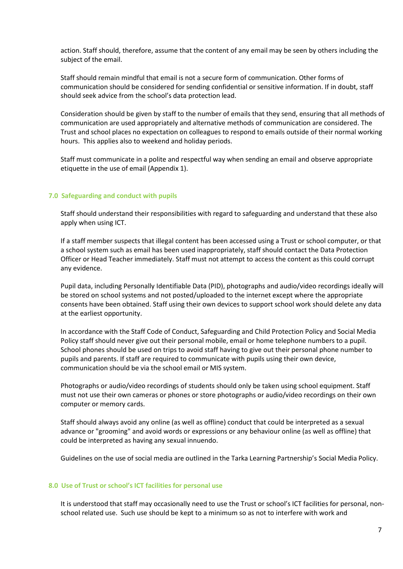action. Staff should, therefore, assume that the content of any email may be seen by others including the subject of the email.

Staff should remain mindful that email is not a secure form of communication. Other forms of communication should be considered for sending confidential or sensitive information. If in doubt, staff should seek advice from the school's data protection lead.

Consideration should be given by staff to the number of emails that they send, ensuring that all methods of communication are used appropriately and alternative methods of communication are considered. The Trust and school places no expectation on colleagues to respond to emails outside of their normal working hours. This applies also to weekend and holiday periods.

Staff must communicate in a polite and respectful way when sending an email and observe appropriate etiquette in the use of email (Appendix 1).

#### <span id="page-6-0"></span>**7.0 Safeguarding and conduct with pupils**

Staff should understand their responsibilities with regard to safeguarding and understand that these also apply when using ICT.

If a staff member suspects that illegal content has been accessed using a Trust or school computer, or that a school system such as email has been used inappropriately, staff should contact the Data Protection Officer or Head Teacher immediately. Staff must not attempt to access the content as this could corrupt any evidence.

Pupil data, including Personally Identifiable Data (PID), photographs and audio/video recordings ideally will be stored on school systems and not posted/uploaded to the internet except where the appropriate consents have been obtained. Staff using their own devices to support school work should delete any data at the earliest opportunity.

In accordance with the Staff Code of Conduct, Safeguarding and Child Protection Policy and Social Media Policy staff should never give out their personal mobile, email or home telephone numbers to a pupil. School phones should be used on trips to avoid staff having to give out their personal phone number to pupils and parents. If staff are required to communicate with pupils using their own device, communication should be via the school email or MIS system.

Photographs or audio/video recordings of students should only be taken using school equipment. Staff must not use their own cameras or phones or store photographs or audio/video recordings on their own computer or memory cards.

Staff should always avoid any online (as well as offline) conduct that could be interpreted as a sexual advance or "grooming" and avoid words or expressions or any behaviour online (as well as offline) that could be interpreted as having any sexual innuendo.

Guidelines on the use of social media are outlined in the Tarka Learning Partnership's Social Media Policy.

#### <span id="page-6-1"></span>**8.0 Use of Trust or school's ICT facilities for personal use**

It is understood that staff may occasionally need to use the Trust or school's ICT facilities for personal, nonschool related use. Such use should be kept to a minimum so as not to interfere with work and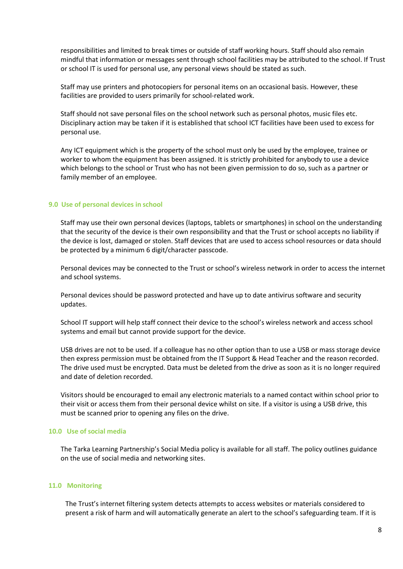responsibilities and limited to break times or outside of staff working hours. Staff should also remain mindful that information or messages sent through school facilities may be attributed to the school. If Trust or school IT is used for personal use, any personal views should be stated as such.

Staff may use printers and photocopiers for personal items on an occasional basis. However, these facilities are provided to users primarily for school-related work.

Staff should not save personal files on the school network such as personal photos, music files etc. Disciplinary action may be taken if it is established that school ICT facilities have been used to excess for personal use.

Any ICT equipment which is the property of the school must only be used by the employee, trainee or worker to whom the equipment has been assigned. It is strictly prohibited for anybody to use a device which belongs to the school or Trust who has not been given permission to do so, such as a partner or family member of an employee.

#### <span id="page-7-0"></span>**9.0 Use of personal devices in school**

Staff may use their own personal devices (laptops, tablets or smartphones) in school on the understanding that the security of the device is their own responsibility and that the Trust or school accepts no liability if the device is lost, damaged or stolen. Staff devices that are used to access school resources or data should be protected by a minimum 6 digit/character passcode.

Personal devices may be connected to the Trust or school's wireless network in order to access the internet and school systems.

Personal devices should be password protected and have up to date antivirus software and security updates.

School IT support will help staff connect their device to the school's wireless network and access school systems and email but cannot provide support for the device.

USB drives are not to be used. If a colleague has no other option than to use a USB or mass storage device then express permission must be obtained from the IT Support & Head Teacher and the reason recorded. The drive used must be encrypted. Data must be deleted from the drive as soon as it is no longer required and date of deletion recorded.

Visitors should be encouraged to email any electronic materials to a named contact within school prior to their visit or access them from their personal device whilst on site. If a visitor is using a USB drive, this must be scanned prior to opening any files on the drive.

#### <span id="page-7-1"></span>**10.0 Use of social media**

The Tarka Learning Partnership's Social Media policy is available for all staff. The policy outlines guidance on the use of social media and networking sites.

#### <span id="page-7-2"></span>**11.0 Monitoring**

The Trust's internet filtering system detects attempts to access websites or materials considered to present a risk of harm and will automatically generate an alert to the school's safeguarding team. If it is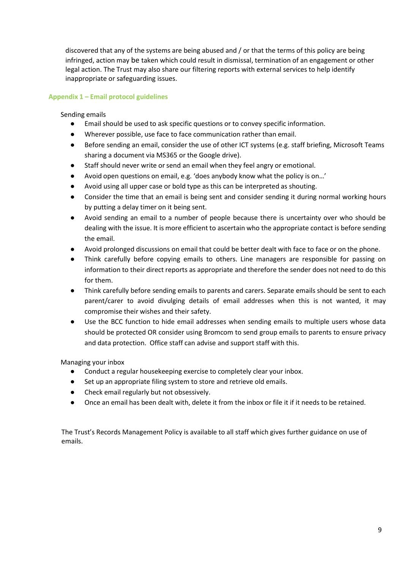discovered that any of the systems are being abused and / or that the terms of this policy are being infringed, action may be taken which could result in dismissal, termination of an engagement or other legal action. The Trust may also share our filtering reports with external services to help identify inappropriate or safeguarding issues.

# <span id="page-8-0"></span>**Appendix 1 – Email protocol guidelines**

# Sending emails

- Email should be used to ask specific questions or to convey specific information.
- Wherever possible, use face to face communication rather than email.
- Before sending an email, consider the use of other ICT systems (e.g. staff briefing, Microsoft Teams sharing a document via MS365 or the Google drive).
- Staff should never write or send an email when they feel angry or emotional.
- Avoid open questions on email, e.g. 'does anybody know what the policy is on…'
- Avoid using all upper case or bold type as this can be interpreted as shouting.
- Consider the time that an email is being sent and consider sending it during normal working hours by putting a delay timer on it being sent.
- Avoid sending an email to a number of people because there is uncertainty over who should be dealing with the issue. It is more efficient to ascertain who the appropriate contact is before sending the email.
- Avoid prolonged discussions on email that could be better dealt with face to face or on the phone.
- Think carefully before copying emails to others. Line managers are responsible for passing on information to their direct reports as appropriate and therefore the sender does not need to do this for them.
- Think carefully before sending emails to parents and carers. Separate emails should be sent to each parent/carer to avoid divulging details of email addresses when this is not wanted, it may compromise their wishes and their safety.
- Use the BCC function to hide email addresses when sending emails to multiple users whose data should be protected OR consider using Bromcom to send group emails to parents to ensure privacy and data protection. Office staff can advise and support staff with this.

Managing your inbox

- Conduct a regular housekeeping exercise to completely clear your inbox.
- Set up an appropriate filing system to store and retrieve old emails.
- Check email regularly but not obsessively.
- Once an email has been dealt with, delete it from the inbox or file it if it needs to be retained.

The Trust's Records Management Policy is available to all staff which gives further guidance on use of emails.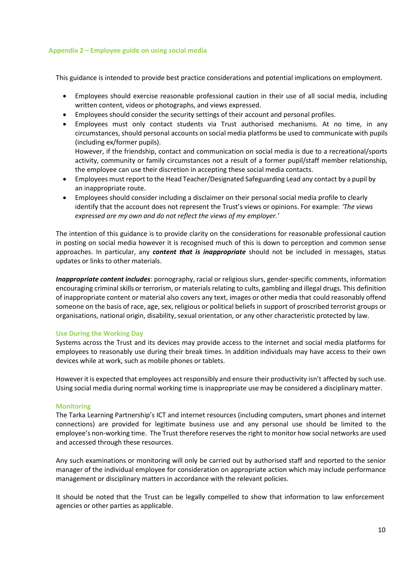#### <span id="page-9-0"></span>**Appendix 2 – Employee guide on using social media**

This guidance is intended to provide best practice considerations and potential implications on employment.

- Employees should exercise reasonable professional caution in their use of all social media, including written content, videos or photographs, and views expressed.
- Employees should consider the security settings of their account and personal profiles.
- Employees must only contact students via Trust authorised mechanisms. At no time, in any circumstances, should personal accounts on social media platforms be used to communicate with pupils (including ex/former pupils).

However, if the friendship, contact and communication on social media is due to a recreational/sports activity, community or family circumstances not a result of a former pupil/staff member relationship, the employee can use their discretion in accepting these social media contacts.

- Employees must report to the Head Teacher/Designated Safeguarding Lead any contact by a pupil by an inappropriate route.
- Employees should consider including a disclaimer on their personal social media profile to clearly identify that the account does not represent the Trust's views or opinions. For example: *'The views expressed are my own and do not reflect the views of my employer.'*

The intention of this guidance is to provide clarity on the considerations for reasonable professional caution in posting on social media however it is recognised much of this is down to perception and common sense approaches. In particular, any *content that is inappropriate* should not be included in messages, status updates or links to other materials.

*Inappropriate content includes*: pornography, racial or religious slurs, gender-specific comments, information encouraging criminal skills or terrorism, or materials relating to cults, gambling and illegal drugs. This definition of inappropriate content or material also covers any text, images or other media that could reasonably offend someone on the basis of race, age, sex, religious or political beliefs in support of proscribed terrorist groups or organisations, national origin, disability, sexual orientation, or any other characteristic protected by law.

#### **Use During the Working Day**

Systems across the Trust and its devices may provide access to the internet and social media platforms for employees to reasonably use during their break times. In addition individuals may have access to their own devices while at work, such as mobile phones or tablets.

Howeverit is expected that employees act responsibly and ensure their productivity isn't affected by such use. Using social media during normal working time is inappropriate use may be considered a disciplinary matter.

#### **Monitoring**

The Tarka Learning Partnership's ICT and internet resources (including computers, smart phones and internet connections) are provided for legitimate business use and any personal use should be limited to the employee's non-working time. The Trust therefore reserves the right to monitor how social networks are used and accessed through these resources.

Any such examinations or monitoring will only be carried out by authorised staff and reported to the senior manager of the individual employee for consideration on appropriate action which may include performance management or disciplinary matters in accordance with the relevant policies.

It should be noted that the Trust can be legally compelled to show that information to law enforcement agencies or other parties as applicable.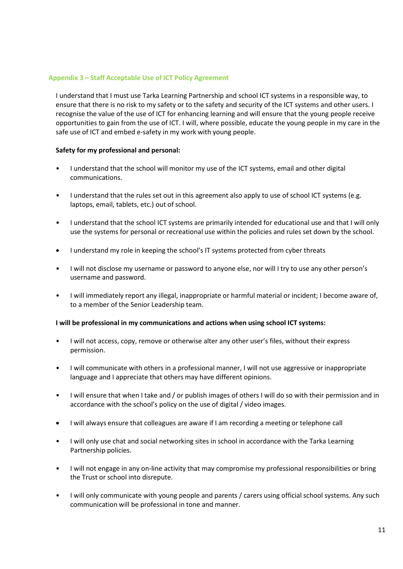# <span id="page-10-0"></span>**Appendix 3 – Staff Acceptable Use of ICT Policy Agreement**

I understand that I must use Tarka Learning Partnership and school ICT systems in a responsible way, to ensure that there is no risk to my safety or to the safety and security of the ICT systems and other users. I recognise the value of the use of ICT for enhancing learning and will ensure that the young people receive opportunities to gain from the use of ICT. I will, where possible, educate the young people in my care in the safe use of ICT and embed e-safety in my work with young people.

# **Safety for my professional and personal:**

- I understand that the school will monitor my use of the ICT systems, email and other digital communications.
- I understand that the rules set out in this agreement also apply to use of school ICT systems (e.g. laptops, email, tablets, etc.) out of school.
- I understand that the school ICT systems are primarily intended for educational use and that I will only use the systems for personal or recreational use within the policies and rules set down by the school.
- I understand my role in keeping the school's IT systems protected from cyber threats
- I will not disclose my username or password to anyone else, nor will I try to use any other person's username and password.
- I will immediately report any illegal, inappropriate or harmful material or incident; I become aware of, to a member of the Senior Leadership team.

#### **I will be professional in my communications and actions when using school ICT systems:**

- I will not access, copy, remove or otherwise alter any other user's files, without their express permission.
- I will communicate with others in a professional manner, I will not use aggressive or inappropriate language and I appreciate that others may have different opinions.
- I will ensure that when I take and / or publish images of others I will do so with their permission and in accordance with the school's policy on the use of digital / video images.
- I will always ensure that colleagues are aware if I am recording a meeting or telephone call
- I will only use chat and social networking sites in school in accordance with the Tarka Learning Partnership policies.
- I will not engage in any on-line activity that may compromise my professional responsibilities or bring the Trust or school into disrepute.
- I will only communicate with young people and parents / carers using official school systems. Any such communication will be professional in tone and manner.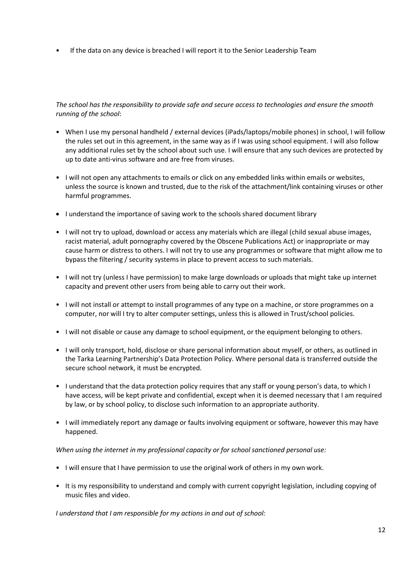• If the data on any device is breached I will report it to the Senior Leadership Team

*The school has the responsibility to provide safe and secure access to technologies and ensure the smooth running of the school*:

- When I use my personal handheld / external devices (iPads/laptops/mobile phones) in school, I will follow the rules set out in this agreement, in the same way as if I was using school equipment. I will also follow any additional rules set by the school about such use. I will ensure that any such devices are protected by up to date anti-virus software and are free from viruses.
- I will not open any attachments to emails or click on any embedded links within emails or websites, unless the source is known and trusted, due to the risk of the attachment/link containing viruses or other harmful programmes.
- I understand the importance of saving work to the schools shared document library
- I will not try to upload, download or access any materials which are illegal (child sexual abuse images, racist material, adult pornography covered by the Obscene Publications Act) or inappropriate or may cause harm or distress to others. I will not try to use any programmes or software that might allow me to bypass the filtering / security systems in place to prevent access to such materials.
- I will not try (unless I have permission) to make large downloads or uploads that might take up internet capacity and prevent other users from being able to carry out their work.
- I will not install or attempt to install programmes of any type on a machine, or store programmes on a computer, nor will I try to alter computer settings, unless this is allowed in Trust/school policies.
- I will not disable or cause any damage to school equipment, or the equipment belonging to others.
- I will only transport, hold, disclose or share personal information about myself, or others, as outlined in the Tarka Learning Partnership's Data Protection Policy. Where personal data is transferred outside the secure school network, it must be encrypted.
- I understand that the data protection policy requires that any staff or young person's data, to which I have access, will be kept private and confidential, except when it is deemed necessary that I am required by law, or by school policy, to disclose such information to an appropriate authority.
- I will immediately report any damage or faults involving equipment or software, however this may have happened.

# *When using the internet in my professional capacity or for school sanctioned personal use:*

- I will ensure that I have permission to use the original work of others in my own work.
- It is my responsibility to understand and comply with current copyright legislation, including copying of music files and video.

*I understand that I am responsible for my actions in and out of school:*